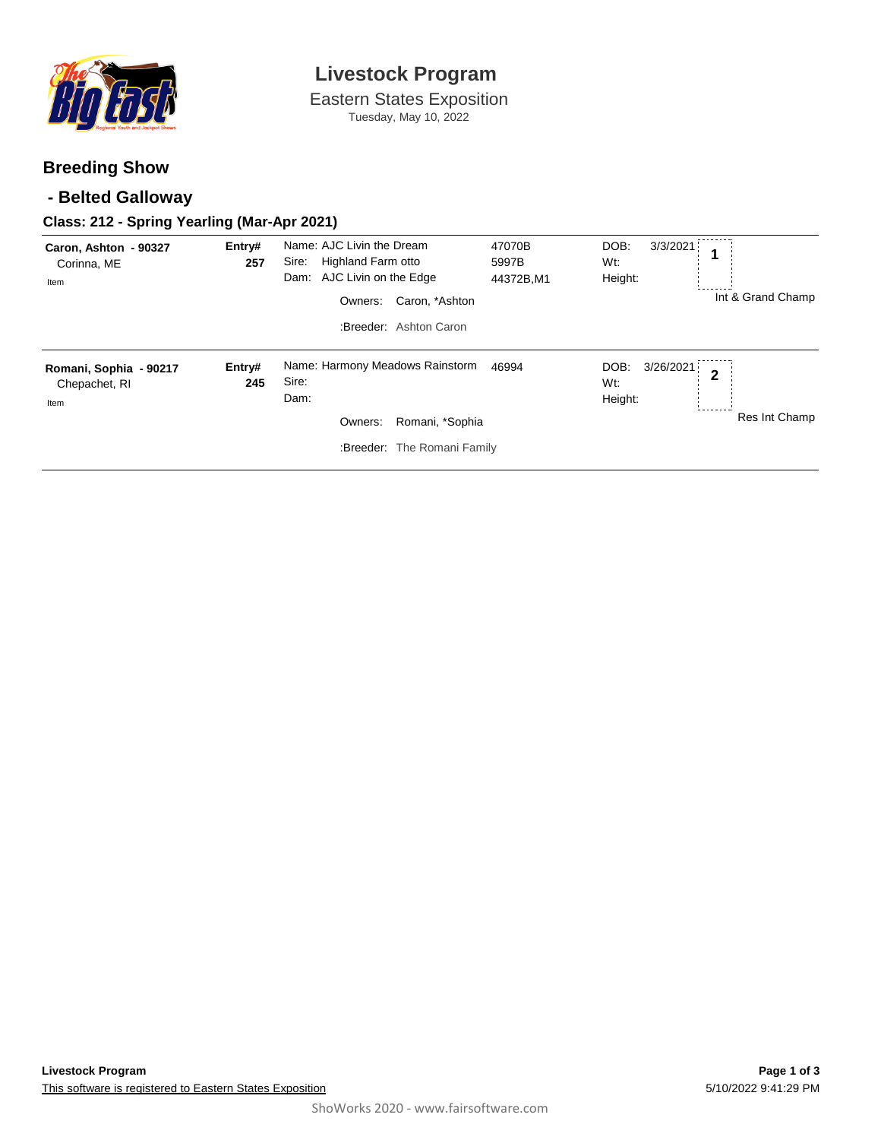

# **Livestock Program**

Eastern States Exposition Tuesday, May 10, 2022

## **Breeding Show**

## **- Belted Galloway**

#### **Class: 212 - Spring Yearling (Mar-Apr 2021)**

| Caron, Ashton - 90327<br>Corinna, ME<br>Item    | Entry#<br>257 | Name: AJC Livin the Dream<br>Highland Farm otto<br>Sire:<br>AJC Livin on the Edge<br>Dam:<br>Caron, *Ashton<br>Owners:<br>:Breeder: Ashton Caron | 47070B<br>5997B<br>44372B,M1 | DOB:<br>3/3/2021<br>Wt:<br>Height:  | ------<br>Int & Grand Champ     |
|-------------------------------------------------|---------------|--------------------------------------------------------------------------------------------------------------------------------------------------|------------------------------|-------------------------------------|---------------------------------|
| Romani, Sophia - 90217<br>Chepachet, RI<br>Item | Entry#<br>245 | Name: Harmony Meadows Rainstorm<br>Sire:<br>Dam:<br>Owners:<br>Romani, *Sophia<br>:Breeder: The Romani Family                                    | 46994                        | 3/26/2021<br>DOB:<br>Wt:<br>Height: | $\overline{2}$<br>Res Int Champ |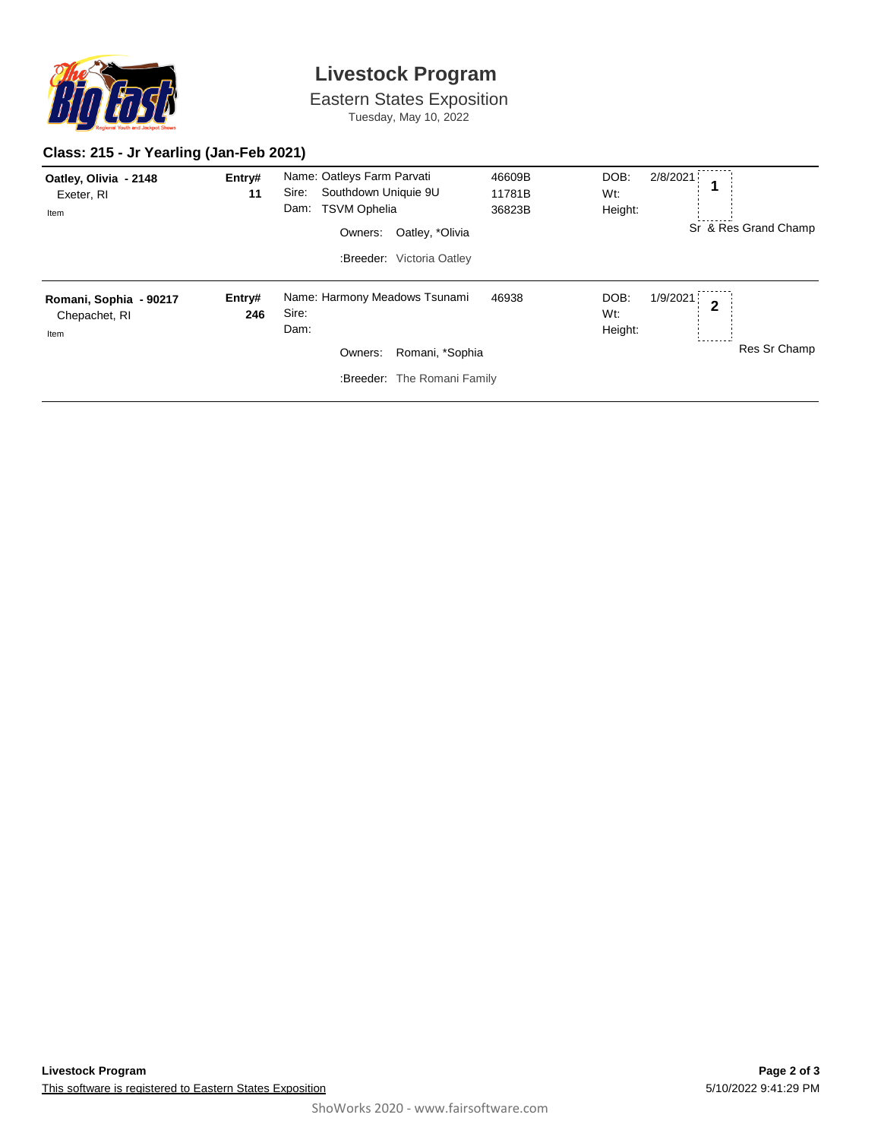

# **Livestock Program**

Eastern States Exposition Tuesday, May 10, 2022

#### **Class: 215 - Jr Yearling (Jan-Feb 2021)**

| Oatley, Olivia - 2148<br>Exeter, RI<br>Item     | Entry#<br>11  | Name: Oatleys Farm Parvati<br>Southdown Uniquie 9U<br>Sire:<br><b>TSVM Ophelia</b><br>Dam:<br>Oatley, *Olivia<br>Owners:<br>:Breeder: Victoria Oatley | 46609B<br>11781B<br>36823B | DOB:<br>Wt:<br>Height: | 2/8/2021<br>1            | Sr & Res Grand Champ |
|-------------------------------------------------|---------------|-------------------------------------------------------------------------------------------------------------------------------------------------------|----------------------------|------------------------|--------------------------|----------------------|
| Romani, Sophia - 90217<br>Chepachet, RI<br>Item | Entry#<br>246 | Name: Harmony Meadows Tsunami<br>Sire:<br>Dam:<br>Romani, *Sophia<br>Owners:<br>:Breeder: The Romani Family                                           | 46938                      | DOB:<br>Wt:<br>Height: | 1/9/2021<br>$\mathbf{2}$ | Res Sr Champ         |